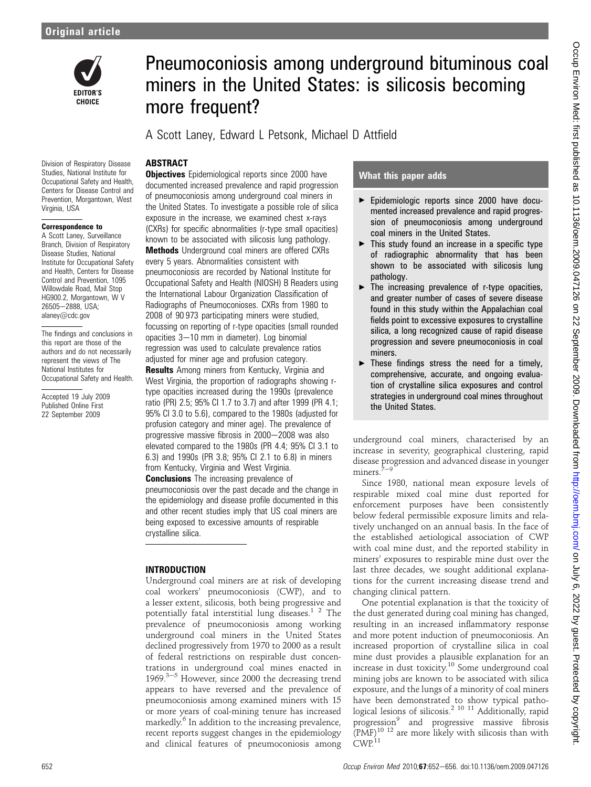

# Pneumoconiosis among underground bituminous coal miners in the United States: is silicosis becoming more frequent?

A Scott Laney, Edward L Petsonk, Michael D Attfield

# **ABSTRACT**

Division of Respiratory Disease Studies, National Institute for Occupational Safety and Health, Centers for Disease Control and Prevention, Morgantown, West Virginia, USA

#### Correspondence to

A Scott Laney, Surveillance Branch, Division of Respiratory Disease Studies, National Institute for Occupational Safety and Health, Centers for Disease Control and Prevention, 1095 Willowdale Road, Mail Stop HG900.2, Morgantown, W V 26505-2888, USA; alaney@cdc.gov

The findings and conclusions in this report are those of the authors and do not necessarily represent the views of The National Institutes for Occupational Safety and Health.

Accepted 19 July 2009 Published Online First 22 September 2009

**Objectives** Epidemiological reports since 2000 have documented increased prevalence and rapid progression of pneumoconiosis among underground coal miners in the United States. To investigate a possible role of silica exposure in the increase, we examined chest x-rays (CXRs) for specific abnormalities (r-type small opacities) known to be associated with silicosis lung pathology. Methods Underground coal miners are offered CXRs every 5 years. Abnormalities consistent with pneumoconiosis are recorded by National Institute for Occupational Safety and Health (NIOSH) B Readers using the International Labour Organization Classification of Radiographs of Pneumoconioses. CXRs from 1980 to 2008 of 90 973 participating miners were studied, focussing on reporting of r-type opacities (small rounded opacities  $3-10$  mm in diameter). Log binomial regression was used to calculate prevalence ratios adjusted for miner age and profusion category.

**Results** Among miners from Kentucky, Virginia and West Virginia, the proportion of radiographs showing rtype opacities increased during the 1990s (prevalence ratio (PR) 2.5; 95% CI 1.7 to 3.7) and after 1999 (PR 4.1; 95% CI 3.0 to 5.6), compared to the 1980s (adjusted for profusion category and miner age). The prevalence of progressive massive fibrosis in  $2000-2008$  was also elevated compared to the 1980s (PR 4.4; 95% CI 3.1 to 6.3) and 1990s (PR 3.8; 95% CI 2.1 to 6.8) in miners from Kentucky, Virginia and West Virginia.

**Conclusions** The increasing prevalence of pneumoconiosis over the past decade and the change in the epidemiology and disease profile documented in this and other recent studies imply that US coal miners are being exposed to excessive amounts of respirable crystalline silica.

### INTRODUCTION

Underground coal miners are at risk of developing coal workers' pneumoconiosis (CWP), and to a lesser extent, silicosis, both being progressive and potentially fatal interstitial lung diseases.<sup>1</sup> <sup>2</sup> The prevalence of pneumoconiosis among working underground coal miners in the United States declined progressively from 1970 to 2000 as a result of federal restrictions on respirable dust concentrations in underground coal mines enacted in  $1969$ .<sup>3-5</sup> However, since 2000 the decreasing trend appears to have reversed and the prevalence of pneumoconiosis among examined miners with 15 or more years of coal-mining tenure has increased markedly.<sup>6</sup> In addition to the increasing prevalence, recent reports suggest changes in the epidemiology and clinical features of pneumoconiosis among

#### What this paper adds

- ▶ Epidemiologic reports since 2000 have documented increased prevalence and rapid progression of pneumoconiosis among underground coal miners in the United States.
- $\blacktriangleright$  This study found an increase in a specific type of radiographic abnormality that has been shown to be associated with silicosis lung pathology.
- $\blacktriangleright$  The increasing prevalence of r-type opacities, and greater number of cases of severe disease found in this study within the Appalachian coal fields point to excessive exposures to crystalline silica, a long recognized cause of rapid disease progression and severe pneumoconiosis in coal miners.
- $\blacktriangleright$  These findings stress the need for a timely, comprehensive, accurate, and ongoing evaluation of crystalline silica exposures and control strategies in underground coal mines throughout the United States.

underground coal miners, characterised by an increase in severity, geographical clustering, rapid disease progression and advanced disease in younger miners.<sup>7</sup>

Since 1980, national mean exposure levels of respirable mixed coal mine dust reported for enforcement purposes have been consistently below federal permissible exposure limits and relatively unchanged on an annual basis. In the face of the established aetiological association of CWP with coal mine dust, and the reported stability in miners' exposures to respirable mine dust over the last three decades, we sought additional explanations for the current increasing disease trend and changing clinical pattern.

One potential explanation is that the toxicity of the dust generated during coal mining has changed, resulting in an increased inflammatory response and more potent induction of pneumoconiosis. An increased proportion of crystalline silica in coal mine dust provides a plausible explanation for an increase in dust toxicity.10 Some underground coal mining jobs are known to be associated with silica exposure, and the lungs of a minority of coal miners have been demonstrated to show typical pathological lesions of silicosis.<sup>2</sup> <sup>10</sup> <sup>11</sup> Additionally, rapid progression<sup>9</sup> and progressive massive fibrosis  $(PMF)^{10}$  12 are more likely with silicosis than with CWP.<sup>11</sup>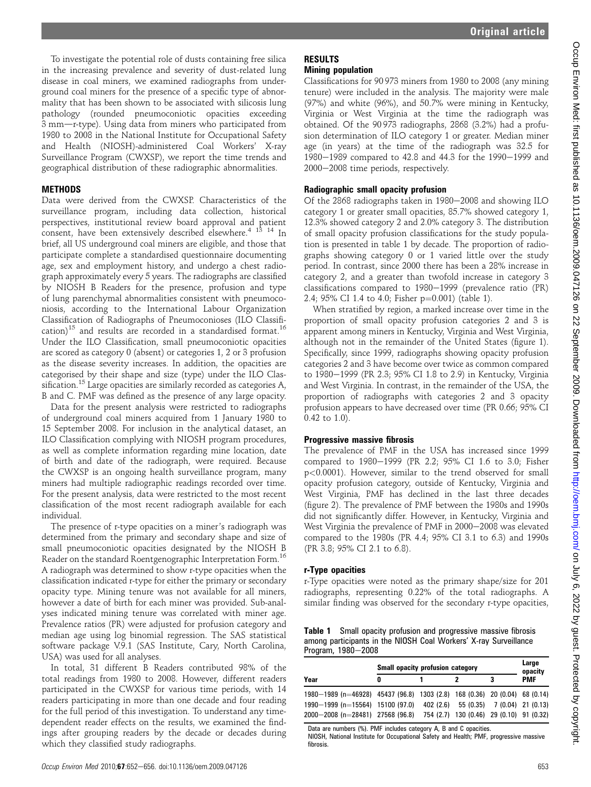To investigate the potential role of dusts containing free silica in the increasing prevalence and severity of dust-related lung disease in coal miners, we examined radiographs from underground coal miners for the presence of a specific type of abnormality that has been shown to be associated with silicosis lung pathology (rounded pneumoconiotic opacities exceeding 3 mm-r-type). Using data from miners who participated from 1980 to 2008 in the National Institute for Occupational Safety and Health (NIOSH)-administered Coal Workers' X-ray Surveillance Program (CWXSP), we report the time trends and geographical distribution of these radiographic abnormalities.

#### **METHODS**

Data were derived from the CWXSP. Characteristics of the surveillance program, including data collection, historical perspectives, institutional review board approval and patient consent, have been extensively described elsewhere.<sup>4</sup> <sup>13</sup> <sup>14</sup> In brief, all US underground coal miners are eligible, and those that participate complete a standardised questionnaire documenting age, sex and employment history, and undergo a chest radiograph approximately every 5 years. The radiographs are classified by NIOSH B Readers for the presence, profusion and type of lung parenchymal abnormalities consistent with pneumoconiosis, according to the International Labour Organization Classification of Radiographs of Pneumoconioses (ILO Classification)<sup>15</sup> and results are recorded in a standardised format.<sup>16</sup> Under the ILO Classification, small pneumoconiotic opacities are scored as category 0 (absent) or categories 1, 2 or 3 profusion as the disease severity increases. In addition, the opacities are categorised by their shape and size (type) under the ILO Classification.<sup>15</sup> Large opacities are similarly recorded as categories A, B and C. PMF was defined as the presence of any large opacity.

Data for the present analysis were restricted to radiographs of underground coal miners acquired from 1 January 1980 to 15 September 2008. For inclusion in the analytical dataset, an ILO Classification complying with NIOSH program procedures, as well as complete information regarding mine location, date of birth and date of the radiograph, were required. Because the CWXSP is an ongoing health surveillance program, many miners had multiple radiographic readings recorded over time. For the present analysis, data were restricted to the most recent classification of the most recent radiograph available for each individual.

The presence of r-type opacities on a miner's radiograph was determined from the primary and secondary shape and size of small pneumoconiotic opacities designated by the NIOSH B Reader on the standard Roentgenographic Interpretation Form.16 A radiograph was determined to show r-type opacities when the classification indicated r-type for either the primary or secondary opacity type. Mining tenure was not available for all miners, however a date of birth for each miner was provided. Sub-analyses indicated mining tenure was correlated with miner age. Prevalence ratios (PR) were adjusted for profusion category and median age using log binomial regression. The SAS statistical software package V.9.1 (SAS Institute, Cary, North Carolina, USA) was used for all analyses.

In total, 31 different B Readers contributed 98% of the total readings from 1980 to 2008. However, different readers participated in the CWXSP for various time periods, with 14 readers participating in more than one decade and four reading for the full period of this investigation. To understand any timedependent reader effects on the results, we examined the findings after grouping readers by the decade or decades during which they classified study radiographs.

# RESULTS

# Mining population

Classifications for 90 973 miners from 1980 to 2008 (any mining tenure) were included in the analysis. The majority were male (97%) and white (96%), and 50.7% were mining in Kentucky, Virginia or West Virginia at the time the radiograph was obtained. Of the 90 973 radiographs, 2868 (3.2%) had a profusion determination of ILO category 1 or greater. Median miner age (in years) at the time of the radiograph was 32.5 for 1980-1989 compared to 42.8 and 44.3 for the 1990-1999 and 2000-2008 time periods, respectively.

#### Radiographic small opacity profusion

Of the 2868 radiographs taken in 1980-2008 and showing ILO category 1 or greater small opacities, 85.7% showed category 1, 12.3% showed category 2 and 2.0% category 3. The distribution of small opacity profusion classifications for the study population is presented in table 1 by decade. The proportion of radiographs showing category 0 or 1 varied little over the study period. In contrast, since 2000 there has been a 28% increase in category 2, and a greater than twofold increase in category 3 classifications compared to  $1980-1999$  (prevalence ratio (PR) 2.4; 95% CI 1.4 to 4.0; Fisher  $p=0.001$  (table 1).

When stratified by region, a marked increase over time in the proportion of small opacity profusion categories 2 and 3 is apparent among miners in Kentucky, Virginia and West Virginia, although not in the remainder of the United States (figure 1). Specifically, since 1999, radiographs showing opacity profusion categories 2 and 3 have become over twice as common compared to 1980-1999 (PR 2.3; 95% CI 1.8 to 2.9) in Kentucky, Virginia and West Virginia. In contrast, in the remainder of the USA, the proportion of radiographs with categories 2 and 3 opacity profusion appears to have decreased over time (PR 0.66; 95% CI 0.42 to 1.0).

#### Progressive massive fibrosis

The prevalence of PMF in the USA has increased since 1999 compared to 1980-1999 (PR 2.2; 95% CI 1.6 to 3.0; Fisher p<0.0001). However, similar to the trend observed for small opacity profusion category, outside of Kentucky, Virginia and West Virginia, PMF has declined in the last three decades (figure 2). The prevalence of PMF between the 1980s and 1990s did not significantly differ. However, in Kentucky, Virginia and West Virginia the prevalence of PMF in 2000–2008 was elevated compared to the 1980s (PR 4.4; 95% CI 3.1 to 6.3) and 1990s (PR 3.8; 95% CI 2.1 to 6.8).

#### r-Type opacities

r-Type opacities were noted as the primary shape/size for 201 radiographs, representing 0.22% of the total radiographs. A similar finding was observed for the secondary r-type opacities,

| <b>Table 1</b> Small opacity profusion and progressive massive fibrosis |
|-------------------------------------------------------------------------|
| among participants in the NIOSH Coal Workers' X-ray Surveillance        |
| Program, 1980–2008                                                      |

|  |                                                                            | <b>Small opacity profusion category</b> | Large<br>opacity                         |  |            |
|--|----------------------------------------------------------------------------|-----------------------------------------|------------------------------------------|--|------------|
|  | Year                                                                       | 0                                       |                                          |  | <b>PMF</b> |
|  | 1980-1989 (n=46928) 45437 (96.8) 1303 (2.8) 168 (0.36) 20 (0.04) 68 (0.14) |                                         |                                          |  |            |
|  | $1990 - 1999$ (n=15564) 15100 (97.0)                                       |                                         | 402 (2.6) 55 (0.35) 7 (0.04) 21 (0.13)   |  |            |
|  | $2000 - 2008$ (n=28481) 27568 (96.8)                                       |                                         | 754 (2.7) 130 (0.46) 29 (0.10) 91 (0.32) |  |            |
|  |                                                                            |                                         |                                          |  |            |

Data are numbers (%). PMF includes category A, B and C opacities.

NIOSH, National Institute for Occupational Safety and Health; PMF, progressive massive fibrosis.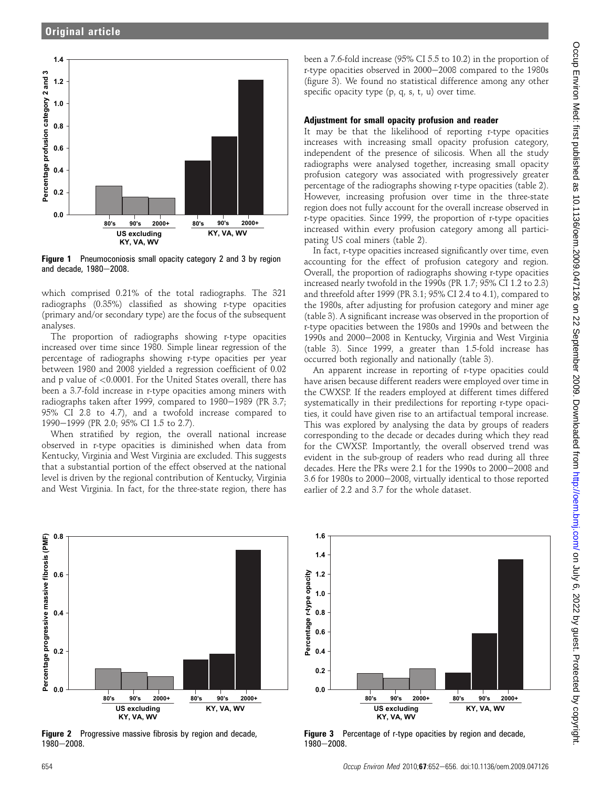

**Figure 1** Pneumoconiosis small opacity category 2 and 3 by region and decade, 1980-2008.

which comprised 0.21% of the total radiographs. The 321 radiographs (0.35%) classified as showing r-type opacities (primary and/or secondary type) are the focus of the subsequent analyses.

The proportion of radiographs showing r-type opacities increased over time since 1980. Simple linear regression of the percentage of radiographs showing r-type opacities per year between 1980 and 2008 yielded a regression coefficient of 0.02 and p value of <0.0001. For the United States overall, there has been a 3.7-fold increase in r-type opacities among miners with radiographs taken after 1999, compared to 1980-1989 (PR 3.7; 95% CI 2.8 to 4.7), and a twofold increase compared to 1990-1999 (PR 2.0; 95% CI 1.5 to 2.7).

When stratified by region, the overall national increase observed in r-type opacities is diminished when data from Kentucky, Virginia and West Virginia are excluded. This suggests that a substantial portion of the effect observed at the national level is driven by the regional contribution of Kentucky, Virginia and West Virginia. In fact, for the three-state region, there has

been a 7.6-fold increase (95% CI 5.5 to 10.2) in the proportion of r-type opacities observed in 2000–2008 compared to the 1980s (figure 3). We found no statistical difference among any other specific opacity type (p, q, s, t, u) over time.

#### Adjustment for small opacity profusion and reader

It may be that the likelihood of reporting r-type opacities increases with increasing small opacity profusion category, independent of the presence of silicosis. When all the study radiographs were analysed together, increasing small opacity profusion category was associated with progressively greater percentage of the radiographs showing r-type opacities (table 2). However, increasing profusion over time in the three-state region does not fully account for the overall increase observed in r-type opacities. Since 1999, the proportion of r-type opacities increased within every profusion category among all participating US coal miners (table 2).

In fact, r-type opacities increased significantly over time, even accounting for the effect of profusion category and region. Overall, the proportion of radiographs showing r-type opacities increased nearly twofold in the 1990s (PR 1.7; 95% CI 1.2 to 2.3) and threefold after 1999 (PR 3.1; 95% CI 2.4 to 4.1), compared to the 1980s, after adjusting for profusion category and miner age (table 3). A significant increase was observed in the proportion of r-type opacities between the 1980s and 1990s and between the 1990s and 2000–2008 in Kentucky, Virginia and West Virginia (table 3). Since 1999, a greater than 1.5-fold increase has occurred both regionally and nationally (table 3).

An apparent increase in reporting of r-type opacities could have arisen because different readers were employed over time in the CWXSP. If the readers employed at different times differed systematically in their predilections for reporting r-type opacities, it could have given rise to an artifactual temporal increase. This was explored by analysing the data by groups of readers corresponding to the decade or decades during which they read for the CWXSP. Importantly, the overall observed trend was evident in the sub-group of readers who read during all three decades. Here the PRs were 2.1 for the 1990s to 2000-2008 and 3.6 for 1980s to 2000-2008, virtually identical to those reported earlier of 2.2 and 3.7 for the whole dataset.



**Figure 2** Progressive massive fibrosis by region and decade,  $1980 - 2008.$ 



**Figure 3** Percentage of r-type opacities by region and decade,  $1980 - 2008.$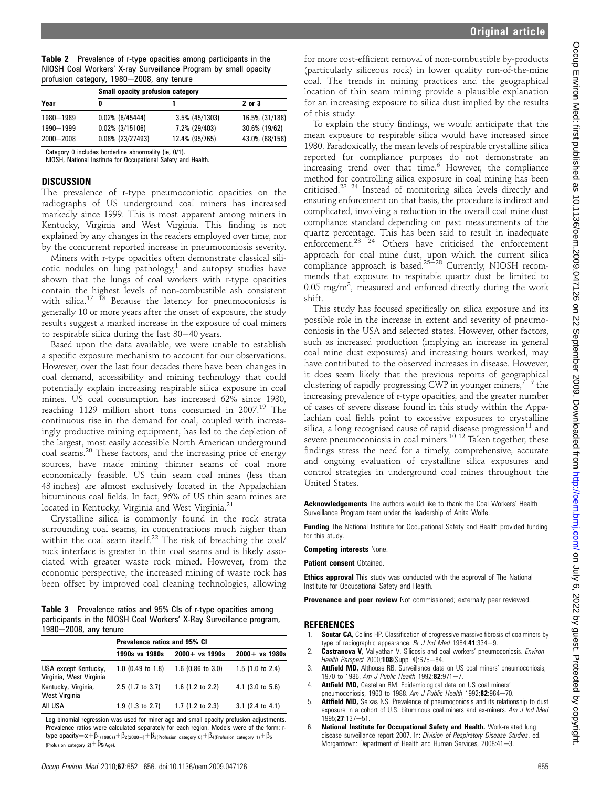Table 2 Prevalence of r-type opacities among participants in the NIOSH Coal Workers' X-ray Surveillance Program by small opacity profusion category,  $1980-2008$ , any tenure

|               | <b>Small opacity profusion category</b> |                   |                |  |  |
|---------------|-----------------------------------------|-------------------|----------------|--|--|
| Year          | 0                                       |                   | 2 or 3         |  |  |
| 1980-1989     | $0.02\%$ (8/45444)                      | $3.5\%$ (45/1303) | 16.5% (31/188) |  |  |
| 1990-1999     | $0.02\%$ (3/15106)                      | 7.2% (29/403)     | 30.6% (19/62)  |  |  |
| $2000 - 2008$ | $0.08\%$ (23/27493)                     | 12.4% (95/765)    | 43.0% (68/158) |  |  |

Category 0 includes borderline abnormality (ie, 0/1).

NIOSH, National Institute for Occupational Safety and Health.

#### **DISCUSSION**

The prevalence of r-type pneumoconiotic opacities on the radiographs of US underground coal miners has increased markedly since 1999. This is most apparent among miners in Kentucky, Virginia and West Virginia. This finding is not explained by any changes in the readers employed over time, nor by the concurrent reported increase in pneumoconiosis severity.

Miners with r-type opacities often demonstrate classical silicotic nodules on lung pathology, $1$  and autopsy studies have shown that the lungs of coal workers with r-type opacities contain the highest levels of non-combustible ash consistent with silica.<sup>17 18</sup> Because the latency for pneumoconiosis is generally 10 or more years after the onset of exposure, the study results suggest a marked increase in the exposure of coal miners to respirable silica during the last  $30-40$  years.

Based upon the data available, we were unable to establish a specific exposure mechanism to account for our observations. However, over the last four decades there have been changes in coal demand, accessibility and mining technology that could potentially explain increasing respirable silica exposure in coal mines. US coal consumption has increased 62% since 1980, reaching 1129 million short tons consumed in 2007.<sup>19</sup> The continuous rise in the demand for coal, coupled with increasingly productive mining equipment, has led to the depletion of the largest, most easily accessible North American underground coal seams.<sup>20</sup> These factors, and the increasing price of energy sources, have made mining thinner seams of coal more economically feasible. US thin seam coal mines (less than 43 inches) are almost exclusively located in the Appalachian bituminous coal fields. In fact, 96% of US thin seam mines are located in Kentucky, Virginia and West Virginia.<sup>21</sup>

Crystalline silica is commonly found in the rock strata surrounding coal seams, in concentrations much higher than within the coal seam itself.<sup>22</sup> The risk of breaching the coal/ rock interface is greater in thin coal seams and is likely associated with greater waste rock mined. However, from the economic perspective, the increased mining of waste rock has been offset by improved coal cleaning technologies, allowing

Table 3 Prevalence ratios and 95% CIs of r-type opacities among participants in the NIOSH Coal Workers' X-Ray Surveillance program, 1980-2008, any tenure

|                                                 | <b>Prevalence ratios and 95% CI</b> |                     |                             |  |  |
|-------------------------------------------------|-------------------------------------|---------------------|-----------------------------|--|--|
|                                                 | 1990s vs 1980s                      | $2000 + vs. 1990s$  | $2000 + vs. 1980s$          |  |  |
| USA except Kentucky,<br>Virginia, West Virginia | 1.0 (0.49 to 1.8)                   | $1.6$ (0.86 to 3.0) | $1.5(1.0 \text{ to } 2.4)$  |  |  |
| Kentucky, Virginia,<br>West Virginia            | $2.5(1.7)$ to $3.7$ )               | 1.6 $(1.2$ to 2.2)  | $4.1$ (3.0 to 5.6)          |  |  |
| AII USA                                         | $1.9$ (1.3 to 2.7)                  | $1.7$ (1.2 to 2.3)  | 3.1 $(2.4 \text{ to } 4.1)$ |  |  |
|                                                 |                                     |                     |                             |  |  |

Log binomial regression was used for miner age and small opacity profusion adjustments. Prevalence ratios were calculated separately for each region. Models were of the form: rtype opacity $=\alpha+\beta_{1(1990s)}+\beta_{2(2000+)}+\beta_{3(Profusion\; category\; 0)}+\beta_{4(Profusion\; category\; 1)}+\beta_{5}$ (Profusion category 2) +  $\beta_{5(Age)}$ .

for more cost-efficient removal of non-combustible by-products (particularly siliceous rock) in lower quality run-of-the-mine coal. The trends in mining practices and the geographical location of thin seam mining provide a plausible explanation for an increasing exposure to silica dust implied by the results of this study.

To explain the study findings, we would anticipate that the mean exposure to respirable silica would have increased since 1980. Paradoxically, the mean levels of respirable crystalline silica reported for compliance purposes do not demonstrate an increasing trend over that time.<sup>6</sup> However, the compliance method for controlling silica exposure in coal mining has been criticised.23 24 Instead of monitoring silica levels directly and ensuring enforcement on that basis, the procedure is indirect and complicated, involving a reduction in the overall coal mine dust compliance standard depending on past measurements of the quartz percentage. This has been said to result in inadequate enforcement.<sup>23</sup><sup>24</sup> Others have criticised the enforcement approach for coal mine dust, upon which the current silica<br>compliance approach is based.<sup>25–28</sup> Currently, NIOSH recommends that exposure to respirable quartz dust be limited to  $0.05$  mg/m<sup>3</sup>, measured and enforced directly during the work shift.

This study has focused specifically on silica exposure and its possible role in the increase in extent and severity of pneumoconiosis in the USA and selected states. However, other factors, such as increased production (implying an increase in general coal mine dust exposures) and increasing hours worked, may have contributed to the observed increases in disease. However, it does seem likely that the previous reports of geographical clustering of rapidly progressing CWP in younger miners,<sup> $7-9$ </sup> the increasing prevalence of r-type opacities, and the greater number of cases of severe disease found in this study within the Appalachian coal fields point to excessive exposures to crystalline silica, a long recognised cause of rapid disease progression $11$  and severe pneumoconiosis in coal miners.<sup>10 12</sup> Taken together, these findings stress the need for a timely, comprehensive, accurate and ongoing evaluation of crystalline silica exposures and control strategies in underground coal mines throughout the United States.

Acknowledgements The authors would like to thank the Coal Workers' Health Surveillance Program team under the leadership of Anita Wolfe.

**Funding** The National Institute for Occupational Safety and Health provided funding for this study.

Competing interests None.

Patient consent Obtained.

**Ethics approval** This study was conducted with the approval of The National Institute for Occupational Safety and Health.

**Provenance and peer review** Not commissioned; externally peer reviewed.

#### **REFERENCES**

- Soutar CA, Collins HP. Classification of progressive massive fibrosis of coalminers by type of radiographic appearance. Br J Ind Med 1984;41:334-9.
- 2. **Castranova V,** Vallyathan V. Silicosis and coal workers' pneumoconiosis. *Environ* Health Perspect 2000;108(Suppl 4):675-84.
- 3. **Attfield MD,** Althouse RB. Surveillance data on US coal miners' pneumoconiosis, 1970 to 1986. Am J Public Health 1992;82:971-7.
- Attfield MD, Castellan RM. Epidemiological data on US coal miners' pneumoconiosis, 1960 to 1988. Am J Public Health 1992;82:964-70.
- 5. Attfield MD, Seixas NS. Prevalence of pneumoconiosis and its relationship to dust exposure in a cohort of U.S. bituminous coal miners and ex-miners. Am J Ind Med 1995:27:137-51.
- 6. National Institute for Occupational Safety and Health. Work-related lung disease surveillance report 2007. In: Division of Respiratory Disease Studies, ed. Morgantown: Department of Health and Human Services, 2008:41-3.